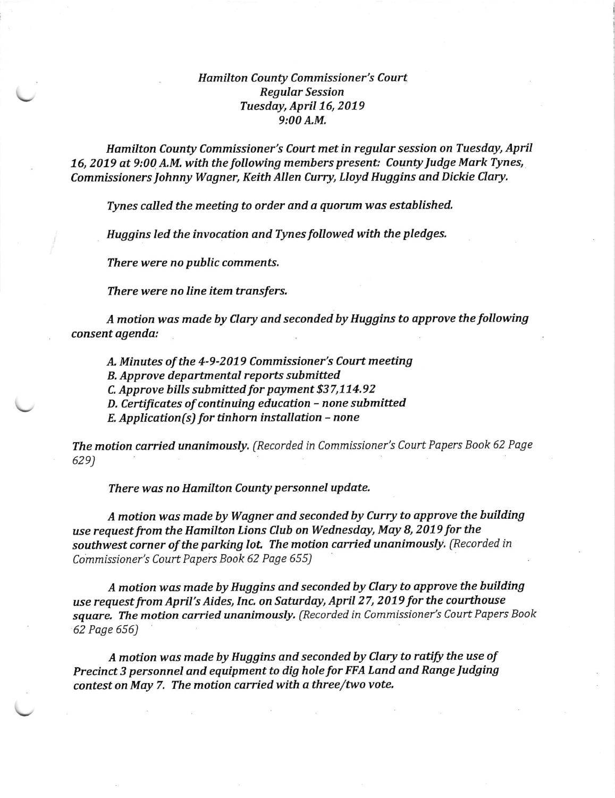## Hamilton County Commissioner's Court Regular Session Tuesday, April 16, 2019 9:00 A.M.

Hamilton County Commissioner's Court met in regular session on Tuesday, April 16, 2019 at 9:00 A.M. with the following members present: County Judge Mark Tynes, Commissioners Johnny Wagner, Keith Allen Curry, Lloyd Huggins and Dickie Clary.

Tynes called the meeting to order and a quorum was established.

Huggins led the invocation and Tynes followed with the pledges.

There were no public comments,

There were no line item transfers.

A motion was made by Clary and seconded by Huggins to approve the following consent agenda:

A- Minutes of the 4-9-2019 Commissioner's Court meeting

B. Approve departmental reports submitted

C. Approve bills submitted for payment \$37,114.92

 $D$ . Certificates of continuing education  $-$  none submitted

 $E.$  Application(s) for tinhorn installation - none

The motion carried unanimously, (Recorded in Commissioner's Court Papers Book 62 Page 62e)

There was no Hamilton County personnel update.

A motion was made by Wagner and seconded by Curry to approve the building use request from the Hamilton Lions Club on Wednesday, May 8, 2079 for the southwest corner of the parking lot. The motion carried unanimously. (Recorded in Commissioner's Court Papers Book 62 Page 655)

A motion was made by Huggins and seconded by Clary to approve the building use request from April's Aides, Inc. on Saturday, April 27, 2079 for the courthouse square. The motion carried unanimously, (Recorded in Commissioner's Court Papers Book 62 Page 556)

A motion was made by Huggins and seconded by Clary to ratify the use of Precinct 3 personnel and equipment to dig hole for FFA Land and Range Judging contest on May 7. The motion carried with a three/two vote.